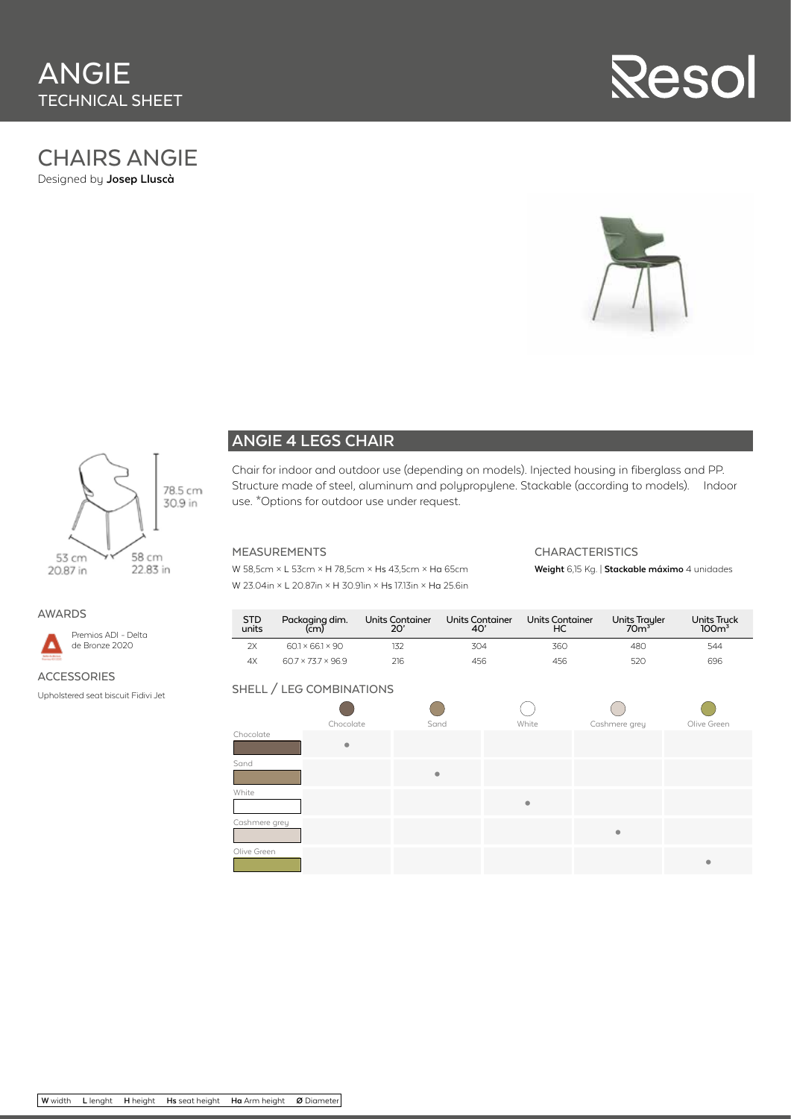## CHAIRS ANGIE

Designed by **Josep Lluscà**







#### **ANGIE 4 LEGS CHAIR**

Chair for indoor and outdoor use (depending on models). Injected housing in fiberglass and PP. Structure made of steel, aluminum and polypropylene. Stackable (according to models). Indoor use. \*Options for outdoor use under request.

#### MEASUREMENTS

W 58,5cm × L 53cm × H 78,5cm × Hs 43,5cm × Ha 65cm W 23.04in × L 20.87in × H 30.91in × Hs 17.13in × Ha 25.6in

#### CHARACTERISTICS

**Weight** 6,15 Kg. | **Stackable máximo** 4 unidades

#### AWARDS



Premios ADI - Delta de Bronze 2020

#### ACCESSORIES

Upholstered seat biscuit Fidivi Jet

| <b>STD</b><br>units | Packaging dim.<br>(cm)         | Units Container<br>20' | <b>Units Container</b><br>40' | Units Container<br>НC | Units Trayler<br>70 <sup>3</sup> | <b>Units Truck</b><br>100 <sup>3</sup> |
|---------------------|--------------------------------|------------------------|-------------------------------|-----------------------|----------------------------------|----------------------------------------|
| 2X                  | $601 \times 661 \times 90$     |                        | 304                           | 36C                   | 480                              | 544                                    |
| 4X                  | $60.7 \times 73.7 \times 96.9$ | 216                    | 456                           | 456                   |                                  | 696                                    |

#### SHELL / LEG COMBINATIONS

|               | Chocolate | Sand      | White     | Cashmere grey | Olive Green |
|---------------|-----------|-----------|-----------|---------------|-------------|
| Chocolate     | $\bullet$ |           |           |               |             |
| Sand          |           | $\bullet$ |           |               |             |
| White         |           |           | $\bullet$ |               |             |
| Cashmere grey |           |           |           | $\bullet$     |             |
| Olive Green   |           |           |           |               | ۰           |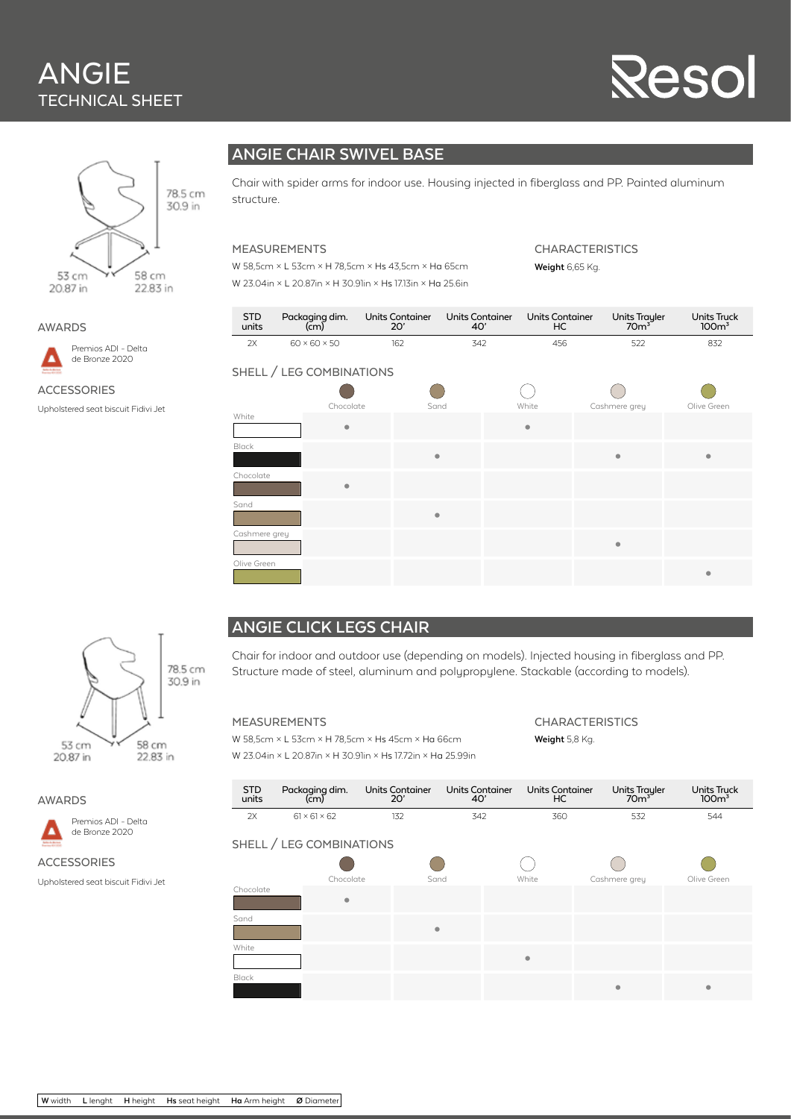## ANGIE TECHNICAL SHEET

# Reso



AWARDS

Premios ADI - Delta D de Bronze 2020

**ACCESSORIES** 

Upholstered seat biscuit Fidivi Jet



Chair with spider arms for indoor use. Housing injected in fiberglass and PP. Painted aluminum structure.

#### MEASUREMENTS

W 58,5cm × L 53cm × H 78,5cm × Hs 43,5cm × Ha 65cm W 23.04in × L 20.87in × H 30.91in × Hs 17.13in × Ha 25.6in CHARACTERISTICS

**Weight** 6,65 Kg.

| STD<br>units | Packaging dim.           | Units Container | Units Container | Units Container | Units Trayler | Units Truck      |
|--------------|--------------------------|-----------------|-----------------|-----------------|---------------|------------------|
|              | (cm)                     | 20'             | 40'             | НC              | $70m^3$       | 100 <sup>3</sup> |
| 2X           | $60 \times 60 \times 50$ | 162             | 342             | 456             |               | 832              |

#### SHELL / LEG COMBINATIONS



#### **ANGIE CLICK LEGS CHAIR**

Chair for indoor and outdoor use (depending on models). Injected housing in fiberglass and PP. Structure made of steel, aluminum and polypropylene. Stackable (according to models).

#### MEASUREMENTS

W 58,5cm × L 53cm × H 78,5cm × Hs 45cm × Ha 66cm W 23.04in × L 20.87in × H 30.91in × Hs 17.72in × Ha 25.99in **CHARACTERISTICS Weight** 5,8 Kg.

| <b>STD</b><br>units      | Packaging dim.<br>(cm)   | <b>Units Container</b><br>20' | <b>Units Container</b><br>40' | <b>Units Container</b><br>HC | <b>Units Trayler</b><br>70 <sup>3</sup> | <b>Units Truck</b><br>100 <sup>3</sup> |  |  |
|--------------------------|--------------------------|-------------------------------|-------------------------------|------------------------------|-----------------------------------------|----------------------------------------|--|--|
| 2X                       | $61 \times 61 \times 62$ | 132                           | 342                           | 360                          | 532                                     | 544                                    |  |  |
| SHELL / LEG COMBINATIONS |                          |                               |                               |                              |                                         |                                        |  |  |
|                          | Chocolate                | Sand                          |                               | White                        | Cashmere grey                           | Olive Green                            |  |  |
| Chocolate                | $\bullet$                |                               |                               |                              |                                         |                                        |  |  |
| Sand                     |                          | $\bullet$                     |                               |                              |                                         |                                        |  |  |
| White                    |                          |                               |                               | $\bullet$                    |                                         |                                        |  |  |
| <b>Black</b>             |                          |                               |                               |                              | $\bullet$                               | ۰                                      |  |  |



AWARDS



ACCESSORIES

Upholstered seat biscuit Fidivi Jet